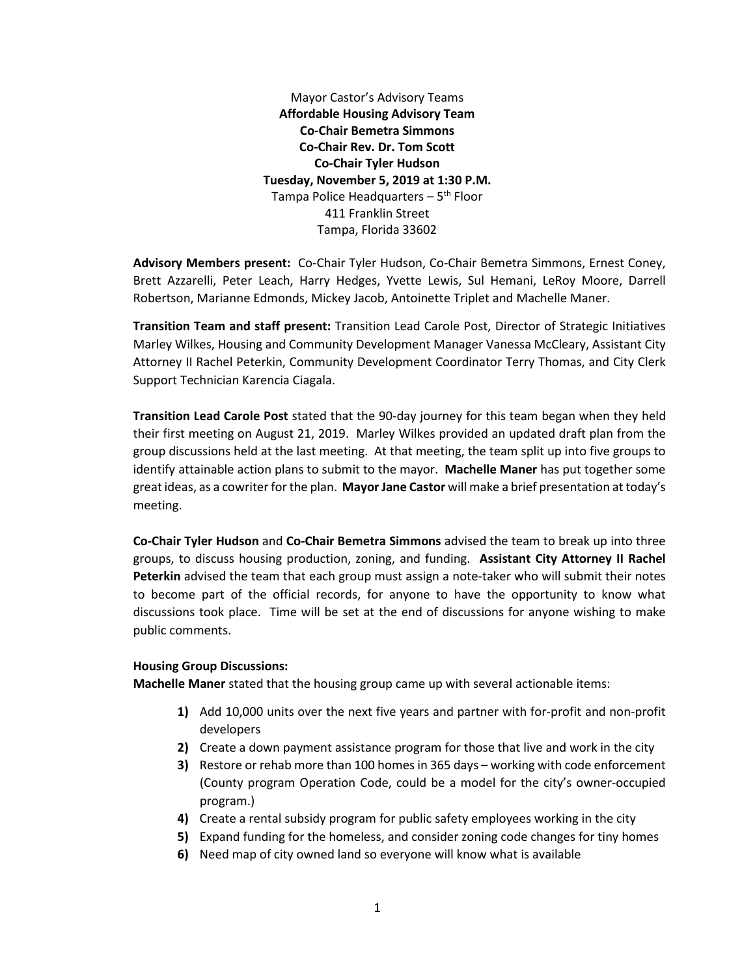Mayor Castor's Advisory Teams **Affordable Housing Advisory Team Co-Chair Bemetra Simmons Co-Chair Rev. Dr. Tom Scott Co-Chair Tyler Hudson Tuesday, November 5, 2019 at 1:30 P.M.** Tampa Police Headquarters  $-5<sup>th</sup>$  Floor 411 Franklin Street Tampa, Florida 33602

**Advisory Members present:** Co-Chair Tyler Hudson, Co-Chair Bemetra Simmons, Ernest Coney, Brett Azzarelli, Peter Leach, Harry Hedges, Yvette Lewis, Sul Hemani, LeRoy Moore, Darrell Robertson, Marianne Edmonds, Mickey Jacob, Antoinette Triplet and Machelle Maner.

**Transition Team and staff present:** Transition Lead Carole Post, Director of Strategic Initiatives Marley Wilkes, Housing and Community Development Manager Vanessa McCleary, Assistant City Attorney II Rachel Peterkin, Community Development Coordinator Terry Thomas, and City Clerk Support Technician Karencia Ciagala.

**Transition Lead Carole Post** stated that the 90-day journey for this team began when they held their first meeting on August 21, 2019. Marley Wilkes provided an updated draft plan from the group discussions held at the last meeting. At that meeting, the team split up into five groups to identify attainable action plans to submit to the mayor. **Machelle Maner** has put together some great ideas, as a cowriter for the plan. **Mayor Jane Castor** will make a brief presentation at today's meeting.

**Co-Chair Tyler Hudson** and **Co-Chair Bemetra Simmons** advised the team to break up into three groups, to discuss housing production, zoning, and funding. **Assistant City Attorney II Rachel Peterkin** advised the team that each group must assign a note-taker who will submit their notes to become part of the official records, for anyone to have the opportunity to know what discussions took place. Time will be set at the end of discussions for anyone wishing to make public comments.

## **Housing Group Discussions:**

**Machelle Maner** stated that the housing group came up with several actionable items:

- **1)** Add 10,000 units over the next five years and partner with for-profit and non-profit developers
- **2)** Create a down payment assistance program for those that live and work in the city
- **3)** Restore or rehab more than 100 homes in 365 days working with code enforcement (County program Operation Code, could be a model for the city's owner-occupied program.)
- **4)** Create a rental subsidy program for public safety employees working in the city
- **5)** Expand funding for the homeless, and consider zoning code changes for tiny homes
- **6)** Need map of city owned land so everyone will know what is available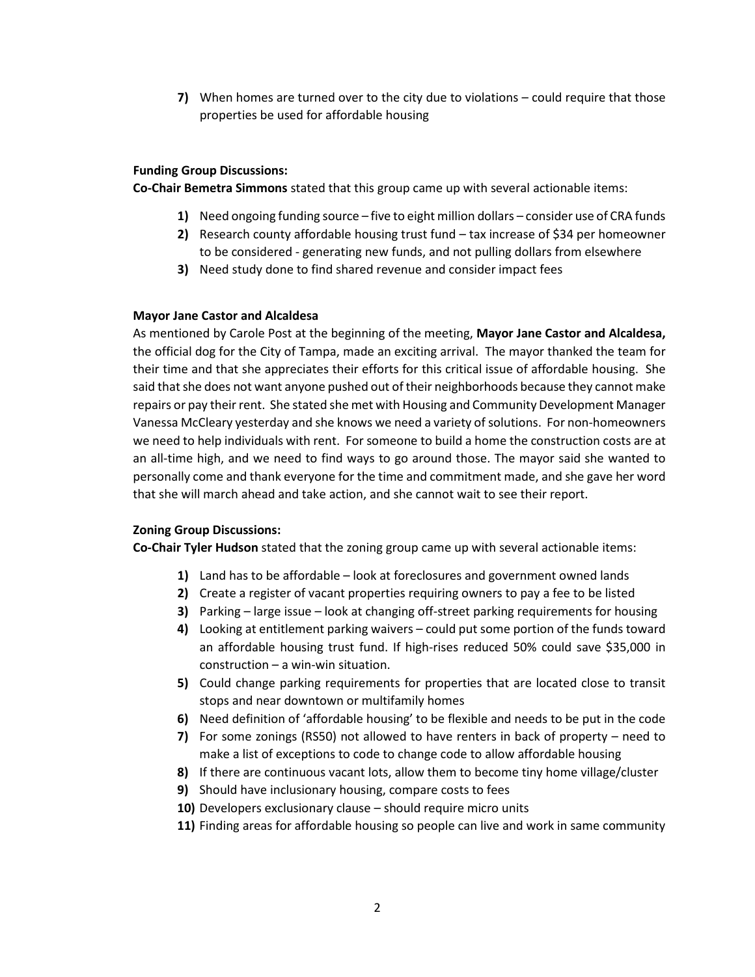**7)** When homes are turned over to the city due to violations – could require that those properties be used for affordable housing

## **Funding Group Discussions:**

**Co-Chair Bemetra Simmons** stated that this group came up with several actionable items:

- **1)** Need ongoing funding source five to eight million dollars consider use of CRA funds
- **2)** Research county affordable housing trust fund tax increase of \$34 per homeowner to be considered - generating new funds, and not pulling dollars from elsewhere
- **3)** Need study done to find shared revenue and consider impact fees

## **Mayor Jane Castor and Alcaldesa**

As mentioned by Carole Post at the beginning of the meeting, **Mayor Jane Castor and Alcaldesa,**  the official dog for the City of Tampa, made an exciting arrival. The mayor thanked the team for their time and that she appreciates their efforts for this critical issue of affordable housing. She said that she does not want anyone pushed out of their neighborhoods because they cannot make repairs or pay their rent. She stated she met with Housing and Community Development Manager Vanessa McCleary yesterday and she knows we need a variety of solutions. For non-homeowners we need to help individuals with rent. For someone to build a home the construction costs are at an all-time high, and we need to find ways to go around those. The mayor said she wanted to personally come and thank everyone for the time and commitment made, and she gave her word that she will march ahead and take action, and she cannot wait to see their report.

## **Zoning Group Discussions:**

**Co-Chair Tyler Hudson** stated that the zoning group came up with several actionable items:

- **1)** Land has to be affordable look at foreclosures and government owned lands
- **2)** Create a register of vacant properties requiring owners to pay a fee to be listed
- **3)** Parking large issue look at changing off-street parking requirements for housing
- **4)** Looking at entitlement parking waivers could put some portion of the funds toward an affordable housing trust fund. If high-rises reduced 50% could save \$35,000 in construction – a win-win situation.
- **5)** Could change parking requirements for properties that are located close to transit stops and near downtown or multifamily homes
- **6)** Need definition of 'affordable housing' to be flexible and needs to be put in the code
- **7)** For some zonings (RS50) not allowed to have renters in back of property need to make a list of exceptions to code to change code to allow affordable housing
- **8)** If there are continuous vacant lots, allow them to become tiny home village/cluster
- **9)** Should have inclusionary housing, compare costs to fees
- **10)** Developers exclusionary clause should require micro units
- **11)** Finding areas for affordable housing so people can live and work in same community